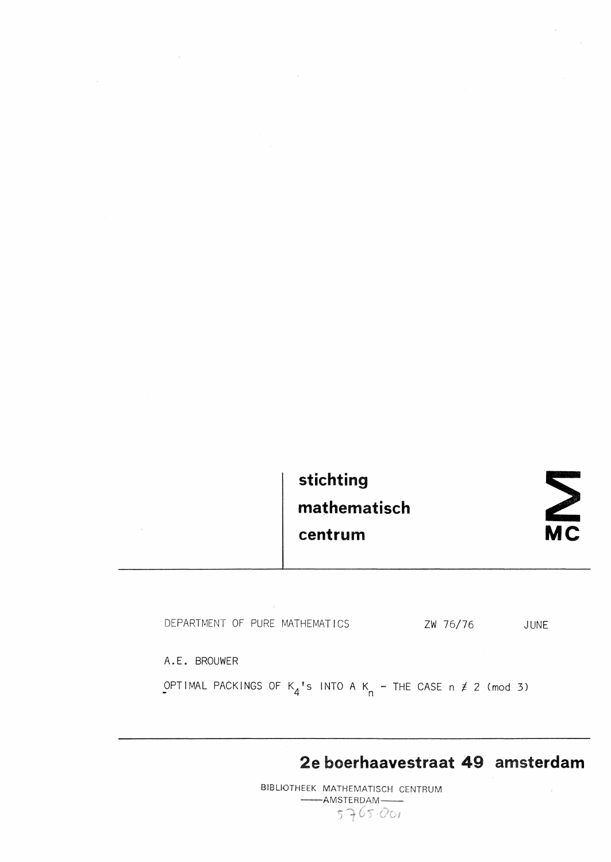| stichting    |
|--------------|
| mathematisch |
| centrum      |



|  |  | DEPARTMENT OF PURE MATHEMATICS | ZW 76/76 | JUNE |
|--|--|--------------------------------|----------|------|
|  |  |                                |          |      |

A.E. BROUWER

 $\sim 10^6$ 

 $\sim$ 

 $\sim$   $\sim$ 

OPTIMAL PACKINGS OF  $K_4$ <sup>'</sup>s INTO A  $K_n$  - THE CASE n  $\neq$  2 (mod 3)

**2e boerhaavestraat 49 amsterdam** 

BIBUOTHEEK MATHEMATISCH CENTRUM -AMSTERDAM- $5765.001$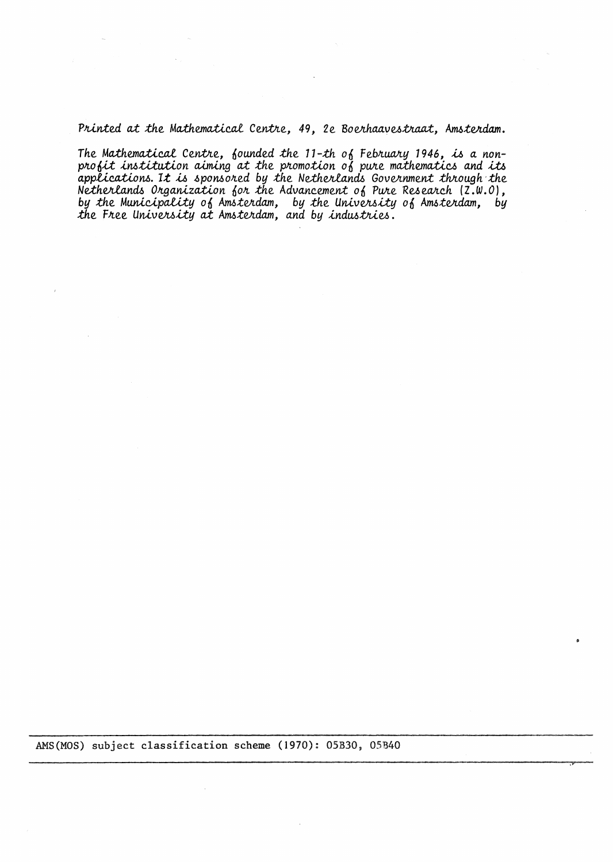*Printed at the Mathematical Centre, 49, 2e Boerhaavestraat, Amsterdam.* 

The Mathematical Centre, founded the 11-th of February 1946, is a nonprofit institution aiming at the promotion of pure mathematics and its *a.ppUc.a.tlom. 1.t* .u, *.6pomo1Led by* :the *Ne:thelli.a.nd.6 Gove11.nmen:t fuough* -*.the*  <code>Netherlands Organization for the Advancement of Pure Research (Z.W.O),</code> by the Municipality of Amsterdam, by the Univers*ity* of Amsterdam, by the Free University at Amsterdam, and by *industries.* 

AMS(MOS) subject classification scheme (1970): 05B30, 05B40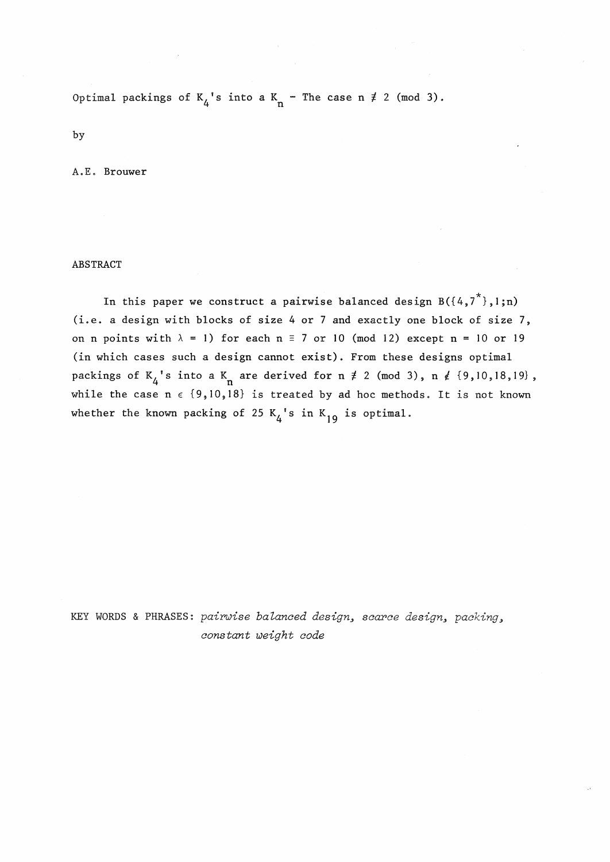Optimal packings of  $K_4$ 's into a  $K_n$  - The case n  $\neq$  2 (mod 3).

by

A.E. Brouwer

## ABSTRACT

In this paper we construct a pairwise balanced design  $B({4,7}^*)$ ,l;n) (i.e. a design with blocks of size 4 or 7 and exactly one block of size 7, on n points with  $\lambda = 1$ ) for each n = 7 or 10 (mod 12) except n = 10 or 19 (in which cases such a design cannot exist). From these designs optimal packings of  $K_4$ 's into a  $K_n$  are derived for  $n \neq 2 \pmod{3}$ ,  $n \neq \{9, 10, 18, 19\}$ , while the case  $n \in \{9,10,18\}$  is treated by ad hoc methods. It is not known whether the known packing of 25  $K_{\Delta}$ 's in  $K_{19}$  is optimal.

KEY WORDS & PHRASES: *pairuise balanced design., scarce design., packing., constant weight code*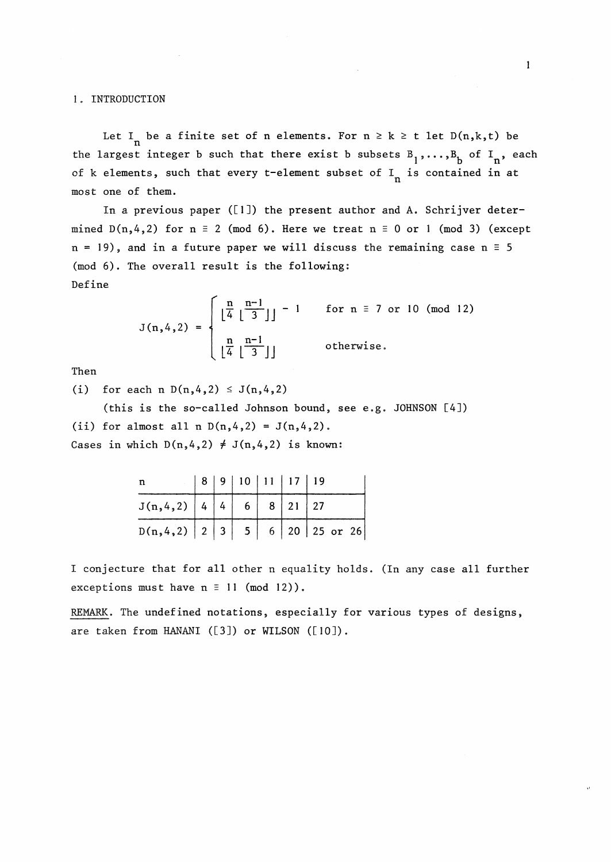## 1. INTRODUCTION

Let I<sub>n</sub> be a finite set of n elements. For  $n \ge k \ge t$  let  $D(n,k,t)$  be the largest integer b such that there exist b subsets  $B_1, \ldots, B_b$  of  $I_n$ , each of k elements, such that every t-element subset of  $I_n$  is contained in at most one of them.

In a previous paper ([l]) the present author and A. Schrijver determined  $D(n, 4, 2)$  for  $n \equiv 2 \pmod{6}$ . Here we treat  $n \equiv 0$  or 1 (mod 3) (except  $n = 19$ ), and in a future paper we will discuss the remaining case  $n = 5$ (mod 6). The overall result is the following: Define

$$
J(n, 4, 2) = \begin{cases} \left\lfloor \frac{n}{4} \left\lfloor \frac{n-1}{3} \right\rfloor \right\rfloor - 1 & \text{for } n \equiv 7 \text{ or } 10 \pmod{12} \\ \left\lfloor \frac{n}{4} \left\lfloor \frac{n-1}{3} \right\rfloor \right\rfloor & \text{otherwise.} \end{cases}
$$

Then

(i) for each n  $D(n, 4, 2) \le J(n, 4, 2)$ 

(this is the so-called Johnson bound, see e.g. JOHNSON [4]) (ii) for almost all n  $D(n, 4, 2) = J(n, 4, 2)$ . Cases in which  $D(n, 4, 2) \neq J(n, 4, 2)$  is known:

| n                                    |  | 8   9   10   11   17   19 |  |                                              |
|--------------------------------------|--|---------------------------|--|----------------------------------------------|
| J(n, 4, 2)   4   4   6   8   21   27 |  |                           |  |                                              |
|                                      |  |                           |  | $D(n, 4, 2)   2   3   5   6   20   25$ or 26 |

I conjecture that for all other n equality holds. (In any case all further exceptions must have  $n \equiv 11 \pmod{12}$ .

REMARK. The undefined notations, especially for various types of designs, are taken from HANANI ([3]) or WILSON ([10]).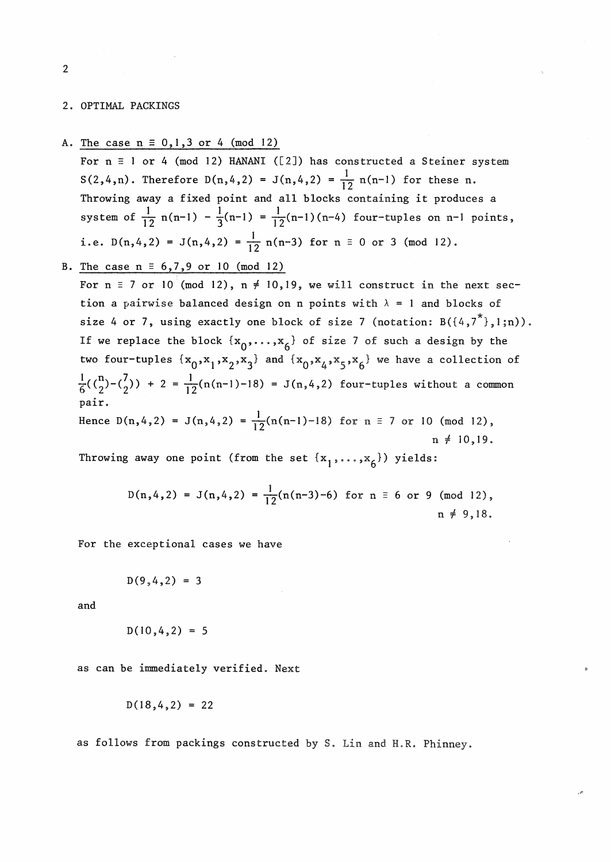2. OPTIMAL PACKINGS

A. The case  $n \equiv 0, 1, 3$  or 4 (mod 12)

For  $n \equiv 1$  or 4 (mod 12) HANANI ([2]) has constructed a Steiner system  $S(2,4,n)$ . Therefore  $D(n,4,2) = J(n,4,2) = \frac{1}{12} n(n-1)$  for these n. Throwing away a fixed point and all blocks containing it produces a system of  $\frac{1}{12}$  n(n-1) -  $\frac{1}{3}$ (n-1) =  $\frac{1}{12}$ (n-1)(n-4) four-tuples on n-1 points, i.e.  $D(n, 4, 2) = J(n, 4, 2) = \frac{1}{12} n(n-3)$  for  $n \equiv 0$  or 3 (mod 12).

B. The case 
$$
n \equiv 6,7,9 \text{ or } 10 \pmod{12}
$$

For  $n \equiv 7$  or 10 (mod 12),  $n \neq 10,19$ , we will construct in the next section a pairwise balanced design on n points with  $\lambda = 1$  and blocks of size 4 or 7, using exactly one block of size 7 (notation:  $B({4,7}^*)$ , 1;n)). If we replace the block  $\{x_0, \ldots, x_6\}$  of size 7 of such a design by the two four-tuples  $\{x_0, x_1, x_2, x_3\}$  and  $\{x_0, x_4, x_5, x_6\}$  we have a collection of  $\frac{1}{6}({n \choose 2} - {7 \choose 2}) + 2 = \frac{1}{12}(n(n-1)-18) = J(n,4,2)$  four-tuples without a common pair.

Hence  $D(n, 4, 2) = J(n, 4, 2) = \frac{1}{12}(n(n-1)-18)$  for  $n \equiv 7$  or 10 (mod 12),  $n \neq 10,19$ .

Throwing away one point (from the set  $\{x_1, \ldots, x_6\}$ ) yields:

$$
D(n, 4, 2) = J(n, 4, 2) = \frac{1}{12}(n(n-3)-6)
$$
 for  $n \equiv 6$  or 9 (mod 12),  
 $n \neq 9, 18.$ 

For the exceptional cases we have

$$
D(9,4,2) = 3
$$

and

$$
D(10, 4, 2) = 5
$$

as can be innnediately verified. Next

$$
D(18, 4, 2) = 22
$$

as follows from packings constructed by S. Lin and H.R. Phinney.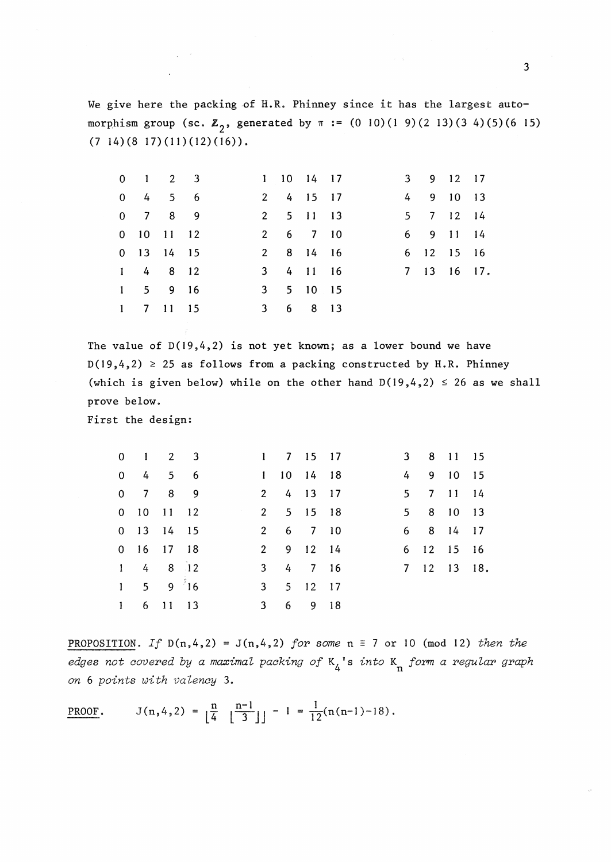We give here the packing of H.R. Phinney since it has the largest automorphism group (sc.  $\mathbb{Z}_2$ , generated by  $\pi := (0 \ 10)(1 \ 9)(2 \ 13)(3 \ 4)(5)(6 \ 15)$  $(7\;14)(8\;17)(11)(12)(16)$ .

|  | $0 \t1 \t2 \t3$              |  | 1 10 14 17 |  |  | 3 9 12 17  |             |
|--|------------------------------|--|------------|--|--|------------|-------------|
|  | $0 \t4 \t5 \t6$              |  | 2 4 15 17  |  |  | 4 9 10 13  |             |
|  | 0 7 8 9                      |  | 2 5 11 13  |  |  | 5 7 12 14  |             |
|  | 0 10 11 12                   |  | 2 6 7 10   |  |  | 6 9 11 14  |             |
|  | $0$ 13 14 15                 |  | 2 8 14 16  |  |  | 6 12 15 16 |             |
|  | $1 \t4 \t8 \t12$             |  | 3 4 11 16  |  |  |            | 7 13 16 17. |
|  | $1 \quad 5 \quad 9 \quad 16$ |  | 3 5 10 15  |  |  |            |             |
|  | 1 7 11 15                    |  | 3 6 8 13   |  |  |            |             |

The value of  $D(19,4,2)$  is not yet known; as a lower bound we have  $D(19, 4, 2) \geq 25$  as follows from a packing constructed by H.R. Phinney (which is given below) while on the other hand  $D(19,4,2) \le 26$  as we shall prove below.

First the design:

 $\mathcal{L}(\mathcal{A})\subset \mathcal{F}$ 

| $0 \quad 1 \quad 2 \quad 3$  |  |                | $1 \quad 7 \quad 15 \quad 17$ |  | 3 8 11 15   |  |
|------------------------------|--|----------------|-------------------------------|--|-------------|--|
| $0 \quad 4 \quad 5 \quad 6$  |  |                | 1 10 14 18                    |  | 4 9 10 15   |  |
| $0 \quad 7 \quad 8 \quad 9$  |  |                | 2 4 13 17                     |  | 5 7 11 14   |  |
| $0$ 10 11 12                 |  |                | 2 5 15 18                     |  | 5 8 10 13   |  |
| $0$ 13 14 15                 |  |                | 2 6 7 10                      |  | 6 8 14 17   |  |
| $0$ 16 17 18                 |  |                | 2 9 12 14                     |  | 6 12 15 16  |  |
| $1 \t4 \t8 \t12$             |  |                | 3 4 7 16                      |  | 7 12 13 18. |  |
| $1 \quad 5 \quad 9 \quad 16$ |  |                | 3 5 12 17                     |  |             |  |
| 1 6 11 13                    |  | 3 <sup>1</sup> | 6 9 18                        |  |             |  |

PROPOSITION. *If*  $D(n, 4, 2) = J(n, 4, 2)$  *for some*  $n \equiv 7$  or 10 (mod 12) *then the edges not covered by a maximal packing of* K4 ' s *into* Kn *form a regular graph on* 6 *points with valency* 3.

PROOF.  $J(n,4,2) = \frac{n}{4} \frac{n-1}{3} \Big| -1 = \frac{1}{12}(n(n-1)-18).$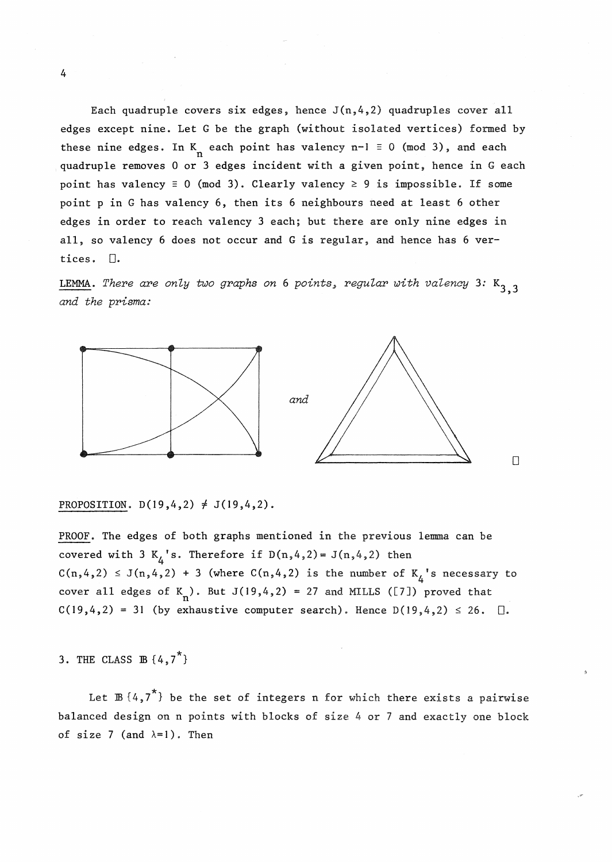Each quadruple covers six edges, hence  $J(n, 4, 2)$  quadruples cover all edges except nine. Let G be the graph (without isolated vertices) formed by these nine edges. In K each point has valency  $n-1 \equiv 0 \pmod{3}$ , and each quadruple removes 0 or 3 edges incident with a given point, hence in G each point has valency  $\equiv 0 \pmod{3}$ . Clearly valency  $\geq 9$  is impossible. If some point pin G has valency 6, then its 6 neighbours need at least 6 other edges in order to reach valency 3 each; but there are only nine edges in all, so valency 6 does not occur and **G is** regular, and hence has 6 vertices.  $\Box$ .

LEMMA. There are only two graphs on 6 points, regular with valency 3:  $K_{3,3}$ *and the prisma:* 



PROPOSITION.  $D(19, 4, 2) \neq J(19, 4, 2)$ .

PROOF. The edges of both graphs mentioned in the previous lemma can be covered with 3  $K_{\Delta}$ 's. Therefore if  $D(n,4,2) = J(n,4,2)$  then  $C(n,4,2) \leq J(n,4,2) + 3$  (where  $C(n,4,2)$  is the number of  $K_4$ 's necessary to cover all edges of  $K_n$ ). But  $J(19, 4, 2) = 27$  and MILLS ([7]) proved that  $C(19,4,2) = 31$  (by exhaustive computer search). Hence  $D(19,4,2) \le 26$ .  $\Box$ .

3. THE CLASS  $\mathbb{B} \{4, 7^{\star}\}\$ 

Let  $\mathbb{B} \{4,7^{\star}\}\$  be the set of integers n for which there exists a pairwise balanced design on n points with blocks of size 4 or 7 and exactly one block of size 7 (and  $\lambda=1$ ). Then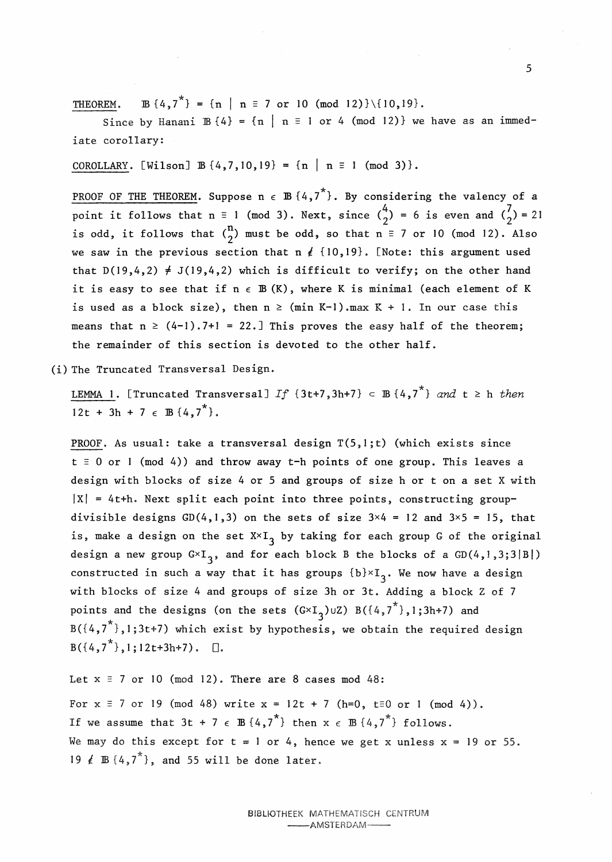THEOREM. IB  $\{4,7^*\} = \{n \mid n \equiv 7 \text{ or } 10 \pmod{12}\}\setminus\{10,19\}.$ 

Since by Hanani  $\mathbb{B} \{4\} = \{n \mid n \equiv 1 \text{ or } 4 \pmod{12}\}$  we have as an immediate corollary:

COROLLARY. [Wilson]  $B\{4,7,10,19\} = \{n \mid n \equiv 1 \pmod{3}\}.$ 

PROOF OF THE THEOREM. Suppose  $n \in \mathbb{B} \{4, 7^*\}$ . By considering the valency of a point it follows that n = 1 (mod 3). Next, since  $\binom{4}{2}$  = 6 is even and  $\binom{7}{2}$  = 21 is odd, it follows that  $\binom{n}{2}$  must be odd, so that  $n \equiv 7$  or 10 (mod 12). Also we saw in the previous section that  $n \nmid$  {10,19}. [Note: this argument used that  $D(19,4,2) \neq J(19,4,2)$  which is difficult to verify; on the other hand it is easy to see that if  $n \in \mathbb{B}$  (K), where K is minimal (each element of K is used as a block size), then  $n \ge (min K-1)$ . max  $K + 1$ . In our case this means that  $n \ge (4-1)$ . 7+1 = 22.] This proves the easy half of the theorem; the remainder of this section is devoted to the other half.

(i) The Truncated Transversal Design.

LEMMA 1. [Truncated Transversal] *If*  $\{3t+7, 3h+7\} \subset \mathbb{B} \{4, 7^*\}$  and  $t \geq h$  *then*  $12t + 3h + 7 \in \mathbb{B} \{4, 7^{\star}\}.$ 

PROOF. As usual: take a transversal design  $T(5,1;t)$  (which exists since  $t \equiv 0$  or 1 (mod 4)) and throw away t-h points of one group. This leaves a design with blocks of size 4 or 5 and groups of size h or ton a set X with  $|X| = 4t+h$ . Next split each point into three points, constructing groupdivisible designs  $GD(4,1,3)$  on the sets of size  $3\times4 = 12$  and  $3\times5 = 15$ , that is, make a design on the set  $X \times I_2$  by taking for each group G of the original design a new group  $G\times I_3$ , and for each block B the blocks of a  $GD(4,1,3;3|B|)$ constructed in such a way that it has groups  $\{b\} \times I_{3}$ . We now have a design with blocks of size 4 and groups of size 3h or 3t. Adding a block Z of 7 points and the designs (on the sets  $(G\times I_{3})$ UZ)  $B(\overline{\{4,7}^{\star}\},1\,;3h+7)$  and  $B({4,7}^*)$ ,1;3t+7) which exist by hypothesis, we obtain the required design  $B({4,7}^*)$ ,1;12t+3h+7).  $\Box$ 

Let  $x \equiv 7$  or 10 (mod 12). There are 8 cases mod 48: For  $x \equiv 7$  or 19 (mod 48) write  $x = 12t + 7$  (h=0, t=0 or 1 (mod 4)). If we assume that  $3t + 7 \in \mathbb{B} \{4, 7^k\}$  then  $x \in \mathbb{B} \{4, 7^k\}$  follows. We may do this except for  $t = 1$  or 4, hence we get x unless  $x = 19$  or 55. 19  $\notin$  B  $\{4, 7^*\}$ , and 55 will be done later.

> BIBLIOTHEEK MATHEMATISCH CENTRUM -AMSTERDAM-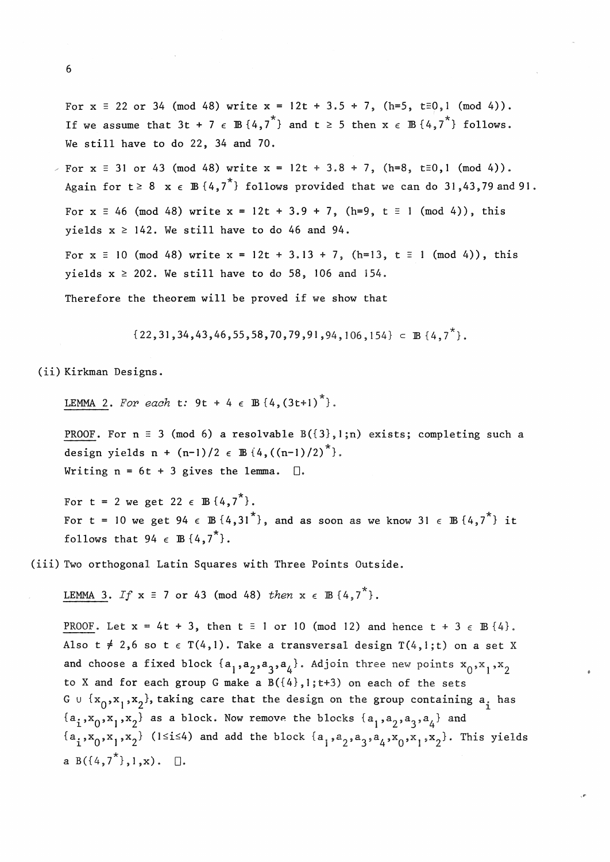For  $x \equiv 22$  or 34 (mod 48) write  $x = 12t + 3.5 + 7$ , (h=5, t=0,1 (mod 4)). If we assume that  $3t + 7 \in \mathbb{B} \{4, 7^k\}$  and  $t \ge 5$  then  $x \in \mathbb{B} \{4, 7^k\}$  follows. We still have to do 22, 34 and 70.

For  $x \equiv 31$  or 43 (mod 48) write  $x = 12t + 3.8 + 7$ , (h=8, t=0,1 (mod 4)). Again for  $t \ge 8$   $x \in \mathbb{B} \{4,7^*\}$  follows provided that we can do 31,43,79 and 91. For  $x \equiv 46 \pmod{48}$  write  $x = 12t + 3.9 + 7$ ,  $(h=9, t \equiv 1 \pmod{4})$ , this yields  $x \ge 142$ . We still have to do 46 and 94. For  $x \equiv 10 \pmod{48}$  write  $x = 12t + 3.13 + 7$ , (h=13,  $t \equiv 1 \pmod{4}$ ), this yields  $x \ge 202$ . We still have to do 58, 106 and 154.

Therefore the theorem will be proved if we show that

 $\{22,31,34,43,46,55,58,70,79,91,94,106,154\} \subset \mathbb{B} \{4,7^{\star}\},$ 

(ii) Kirkman Designs.

LEMMA 2. For each **t**:  $9t + 4 \in \mathbb{B} \{4,(3t+1)^{*}\}.$ 

PROOF. For  $n \equiv 3 \pmod{6}$  a resolvable  $B({3},1;n)$  exists; completing such a design yields  $n + (n-1)/2 \in \mathbb{B}{4, ((n-1)/2)}^*$ . Writing  $n = 6t + 3$  gives the lemma.  $\Box$ .

For t = 2 we get 22  $\epsilon$  B  $\{4, 7^* \}$ . For t = 10 we get 94  $\epsilon$  B {4,31<sup>\*</sup>}, and as soon as we know 31  $\epsilon$  B {4,7<sup>\*</sup>} it follows that  $94 \in \mathbb{B} \{4, 7^{\star}\}.$ 

(iii) Two orthogonal Latin Squares with Three Points Outside.

LEMMA 3. *If*  $x \equiv 7$  or 43 (mod 48) *then*  $x \in \mathbb{B} \{4, 7^* \}$ .

PROOF. Let  $x = 4t + 3$ , then  $t = 1$  or 10 (mod 12) and hence  $t + 3 \in \mathbb{B} \{4\}$ . Also t  $\neq$  2,6 so t  $\epsilon$  T(4,1). Take a transversal design T(4,1;t) on a set X and choose a fixed block  $\{a_1,a_2,a_3,a_4\}$ . Adjoin three new points  $x_0, x_1, x_2$ to X and for each group G make a  $B({4},1;t+3)$  on each of the sets G  $\cup$  {x<sub>0</sub>,x<sub>1</sub>,x<sub>2</sub>}, taking care that the design on the group containing a<sub>i</sub> has  ${a_1, x_0, x_1, x_2}$  as a block. Now remove the blocks  ${a_1, a_2, a_3, a_4}$  and  ${a_1, x_0, x_1, x_2}$  (1≤i≤4) and add the block  ${a_1, a_2, a_3, a_4, x_0, x_1, x_2}$ . This yields a  $B({4,7}^*)$ ,  $1$ , x).  $\Box$ .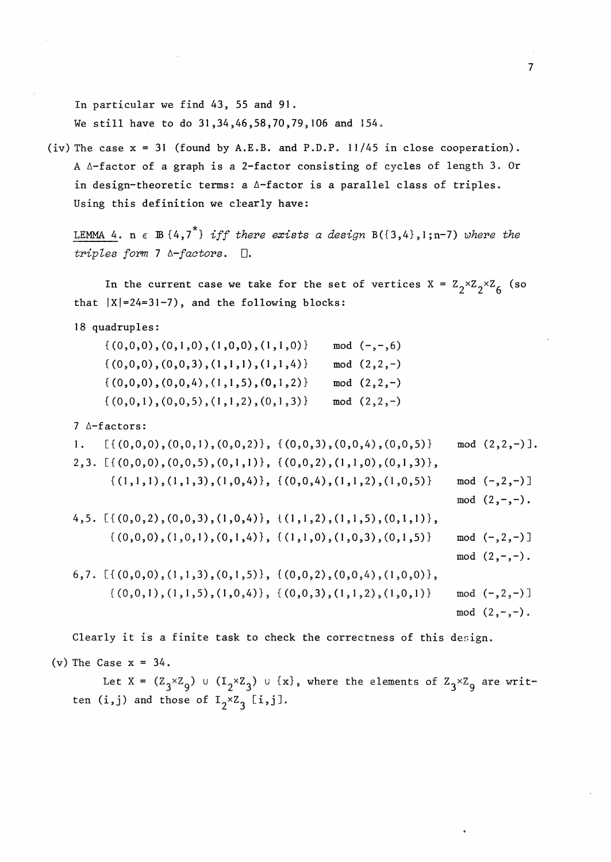In particular we find 43, 55 and 91. We still have to do 31,34,46,58,70,79,106 and 154.

(iv) The case x = 31 (found by A.E.B. and P.D.P. 11/45 in close cooperation). A 6-factor of a graph is a 2-factor consisting of cycles of length 3. Or in design-theoretic terms: a  $\Delta$ -factor is a parallel class of triples. Using this definition we clearly have:

LEMMA 4.  $n \in \mathbb{B} \{4, 7^*\}$  *iff there exists a design*  $B(\{3,4\},1; n-7)$  *where the triples form* 7 *A-factors.*  $\Box$ .

In the current case we take for the set of vertices  $X = Z_2 \times Z_2 \times Z_6$  (so that  $|X|=24=31-7$ , and the following blocks:

18 quadruples:

| $\{(0,0,0), (0,1,0), (1,0,0), (1,1,0)\}\$ | mod $(-,-,6)$   |
|-------------------------------------------|-----------------|
| $\{(0,0,0), (0,0,3), (1,1,1), (1,1,4)\}\$ | mod $(2, 2, -)$ |
| $\{(0,0,0), (0,0,4), (1,1,5), (0,1,2)\}\$ | mod $(2, 2, -)$ |
| $\{(0,0,1), (0,0,5), (1,1,2), (0,1,3)\}\$ | mod $(2, 2, -)$ |

7 A-factors:

1. 
$$
[\{(0,0,0), (0,0,1), (0,0,2)\}, \{(0,0,3), (0,0,4), (0,0,5)\}
$$
 mod  $(2,2,-)$ ].  
\n2,3.  $[\{(0,0,0), (0,0,5), (0,1,1)\}, \{(0,0,2), (1,1,0), (0,1,3)\},$   
\n $\{1,1,1), (1,1,3), (1,0,4)\}, \{(0,0,4), (1,1,2), (1,0,5)\}$  mod  $(-2,-)$ ]  
\nmod  $(2,-,-)$ .  
\n4,5.  $[\{(0,0,2), (0,0,3), (1,0,4)\}, \{(1,1,2), (1,1,5), (0,1,1)\},$   
\n $\{0,0,0), (1,0,1), (0,1,4)\}, \{(1,1,0), (1,0,3), (0,1,5)\}$  mod  $(-2,-)$ ]  
\nmod  $(2,-,-)$ .  
\n6,7.  $[\{(0,0,0), (1,1,3), (0,1,5)\}, \{(0,0,2), (0,0,4), (1,0,0)\},$   
\n $\{0,0,1), (1,1,5), (1,0,4)\}, \{(0,0,3), (1,1,2), (1,0,1)\}$  mod  $(-2,-)$ ]  
\nmod  $(2,-,-)$ .  
\nmod  $(2,-,-)$ .

Clearly it is a finite task to check the correctness of this design.

(v) The Case  $x = 34$ .

Let X =  $(\frac{z}{3} \times z_g)$  u  $(\frac{1}{2} \times z_g)$  u  $\{x\}$ , where the elements of  $z_3 \times z_g$  are written  $(i,j)$  and those of  $I_2 \times Z_3$  [i,j].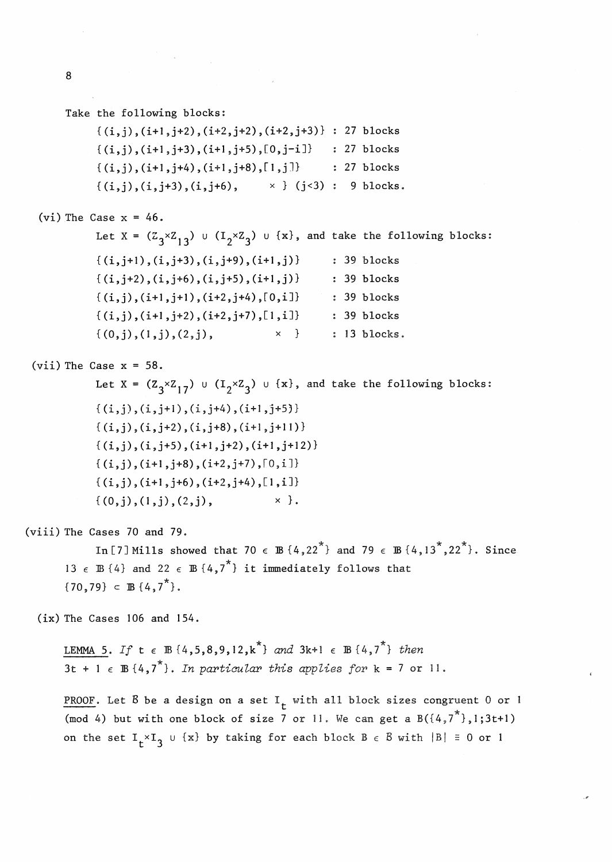```
Take the following blocks: 
              \{(i,j), (i+1,j+2), (i+2,j+2), (i+2,j+3)\} : 27 blocks\{(i,j), (i+1,j+3), (i+1,j+5), [0,j-i] \} : 27 blocks
              \{(i,j), (i+1,j+4), (i+1,j+8), [1,j]\} : 27 blocks
              \{(i,j), (i,j+3), (i,j+6), \times\} (j<3): 9 blocks.
  (vi) The Case x = 46.
              Let X = (\mathbb{Z}_3 \times \mathbb{Z}_{13}) u (\mathbb{I}_2 \times \mathbb{Z}_3) u \{x\}, and take the following blocks:
              \{(i,j+1),(i,j+3),(i,j+9),(i+1,j)\}\; : 39 blocks
              {(i,j+2),(i,j+6),(i,j+5),(i+1,j)} : 39 blocks<br>{(i,j),(i+1,j+1),(i+2,j+4),[0,i]} : 39 blocks
              \{(i,j),(i+1,i+1),(i+2,i+4),(0,i]\}\{(i,j), (i+1,j+2), (i+2,j+7), [1,i]\} : 39 blocks
              \{(0,j),(1,j),(2,j), \times\} : 13 blocks.
 (vii) The Case x = 58.
              Let X = (Z_3 \times Z_{17}) u (I_2 \times Z_3) u {x}, and take the following blocks:
              \{(i,j), (i,j+1), (i,j+4), (i+1,j+5)\}{(i,j),(i,j+2),(i,j+8),(i+1,j+11)}{(i,j),(i,j+5),(i+1,j+2),(i+1,j+12)}\{(i,j), (i+1,j+8), (i+2,j+7), [0,i]\}{(i,i), (i+1,i+6), (i+2,i+4), [1,i]}\{(0,j),(1,j),(2,j), \times \}.
(viii) The Cases 70 and 79. 
              In [7] Mills showed that 70 \epsilon B {4,22<sup>*</sup>} and 79 \epsilon B {4,13<sup>*</sup>,22<sup>*</sup>}. Since
        13 \epsilon B {4} and 22 \epsilon B {4,7<sup>*</sup>} it immediately follows that
        \{70, 79\} \subset \mathbb{B} \{4, 7^*\}.( ix) The Cases 106 and 154. 
       LEMMA 5. If t \in \mathbb{B} \{4, 5, 8, 9, 12, k^* \} and 3k+1 \in \mathbb{B} \{4, 7^* \} then
       \overline{3t + 1} \in \mathbb{B} \{4, 7^{\star}\}\. In particular this applies for k = 7 or 11.
       PROOF. Let B be a design on a set I<sub>r</sub> with all block sizes congruent 0 or 1
        (mod 4) but with one block of size 7 or 11. We can get a B({4, 7^*}, 1;3t+1)on the set I_t \times I_3 u {x} by taking for each block B \in B with |B| \equiv 0 or l
```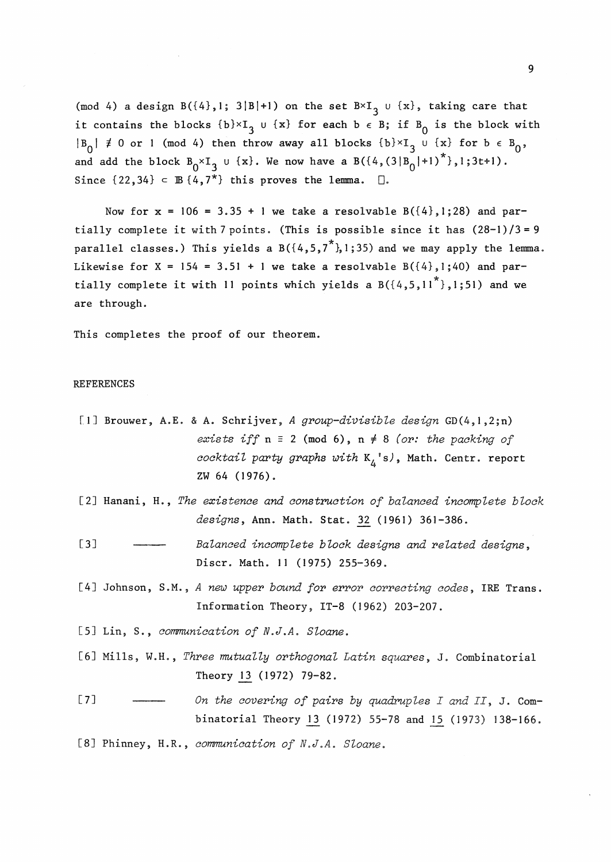(mod 4) a design B({4},1; 3|B|+1) on the set  $B\times I_3$  u {x}, taking care that it contains the blocks  $\{b\} \times I_3$  u  $\{x\}$  for each  $b \in B$ ; if  $B_0$  is the block with  $|B_0| \neq 0$  or 1 (mod 4) then throw away all blocks  $\{b\} \times I_3$  u  $\{x\}$  for  $b \in B_0$ , and add the block  $B_0 \times I_3$  u {x}. We now have a  $B({4, (3|B_0^-|+1)}^*)$ , 1;3t+1). Since  $\{22,34\} \subset \mathbb{B}\{4,7^*\}$  this proves the lemma.  $\Box$ .

Now for  $x = 106 = 3.35 + 1$  we take a resolvable  $B({4},1;28)$  and partially complete it with 7 points. (This is possible since it has  $(28-1)/3 = 9$ parallel classes.) This yields a  $B({4, 5, 7^*}, 1;35)$  and we may apply the lemma. Likewise for  $X = 154 = 3.51 + 1$  we take a resolvable  $B({4},1;40)$  and partially complete it with 11 points which yields a  $B({4,5,11}^*)$ , 1;51) and we are through.

This completes the proof of our theorem.

## REFERENCES

- [I] Brouwer, A.E. & A. Schrijver, *A group-divisible design* GD(4,l,2;n) *exists iff*  $n \equiv 2 \pmod{6}$ ,  $n \neq 8$  *(or: the packing of cocktail party graphs with* K4 's), Math. Centr. report zw 64 (1976).
- [2] Hanani, H., *The existence and construction of balanced incomplete block designs,* Ann. Math. Stat. 32 (1961) 361-386.
- [3] *Balanced incomplete block designs and related designs,*  Discr. Math. 11 (1975) 255-369.
- [4] Johnson, S.M., *A new upper bound for error correcting codes,* IRE Trans. Information Theory, IT-8 (1962) 203-207.
- [SJ Lin, S., *communication of N.J.A. Sloane.*
- [6] Mills, W.H., *Three mutually orthogonal Latin squares*, J. Combinatorial Theory 13 (1972) 79-82.
- [7] ---- On the covering of pairs by quadruples I and II, J. Combinatorial Theory 13 (1972) 55-78 and 15 (1973) 138-166.
- [8] Phinney, H.R., *communication of N.J.A. Sloane.*